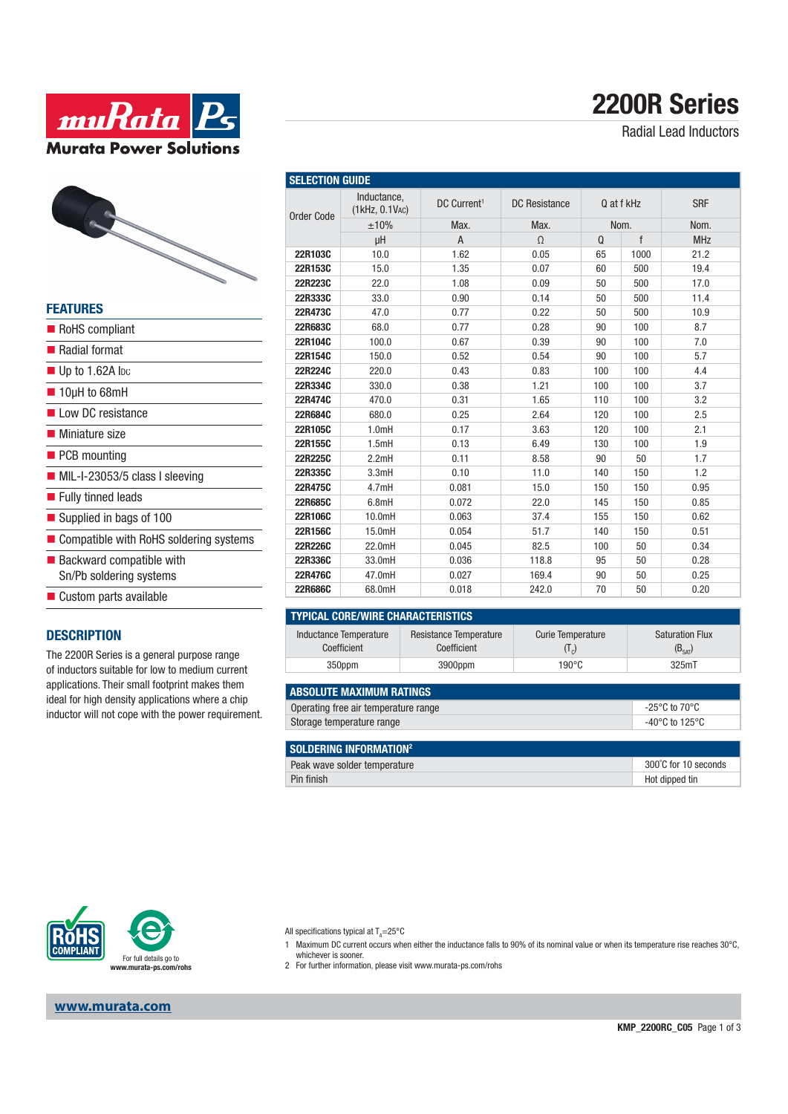



| <b>FEATURES</b>                               |
|-----------------------------------------------|
| RoHS compliant                                |
| ■ Radial format                               |
| $\blacksquare$ Up to 1.62A loc                |
| $\blacksquare$ 10µH to 68mH                   |
| Low DC resistance                             |
| ■ Miniature size                              |
| $\blacksquare$ PCB mounting                   |
| $\blacksquare$ MIL-I-23053/5 class I sleeving |
| ■ Fully tinned leads                          |
| Supplied in bags of 100                       |
| Compatible with RoHS soldering systems        |
| $\blacksquare$ Backward compatible with       |
| Sn/Pb soldering systems                       |
| Custom parts available                        |
|                                               |

#### **DESCRIPTION**

The 2200R Series is a general purpose range of inductors suitable for low to medium current applications. Their small footprint makes them ideal for high density applications where a chip inductor will not cope with the power requirement.

| <b>SELECTION GUIDE</b> |                               |                         |                      |            |              |            |  |
|------------------------|-------------------------------|-------------------------|----------------------|------------|--------------|------------|--|
| <b>Order Code</b>      | Inductance,<br>(1kHz, 0.1VAC) | DC Current <sup>1</sup> | <b>DC</b> Resistance | Q at f kHz |              | <b>SRF</b> |  |
|                        | ±10%                          | Max.                    | Max.                 | Nom.       |              | Nom.       |  |
|                        | μH                            | $\overline{A}$          | $\Omega$             | Q          | $\mathsf{f}$ | <b>MHz</b> |  |
| 22R103C                | 10.0                          | 1.62                    | 0.05                 | 65         | 1000         | 21.2       |  |
| 22R153C                | 15.0                          | 1.35                    | 0.07                 | 60         | 500          | 19.4       |  |
| 22R223C                | 22.0                          | 1.08                    | 0.09                 | 50         | 500          | 17.0       |  |
| 22R333C                | 33.0                          | 0.90                    | 0.14                 | 50         | 500          | 11.4       |  |
| 22R473C                | 47.0                          | 0.77                    | 0.22                 | 50         | 500          | 10.9       |  |
| 22R683C                | 68.0                          | 0.77                    | 0.28                 | 90         | 100          | 8.7        |  |
| 22R104C                | 100.0                         | 0.67                    | 0.39                 | 90         | 100          | 7.0        |  |
| 22R154C                | 150.0                         | 0.52                    | 0.54                 | 90         | 100          | 5.7        |  |
| 22R224C                | 220.0                         | 0.43                    | 0.83                 | 100        | 100          | 4.4        |  |
| 22R334C                | 330.0                         | 0.38                    | 1.21                 | 100        | 100          | 3.7        |  |
| 22R474C                | 470.0                         | 0.31                    | 1.65                 | 110        | 100          | 3.2        |  |
| 22R684C                | 680.0                         | 0.25                    | 2.64                 | 120        | 100          | 2.5        |  |
| 22R105C                | 1.0mH                         | 0.17                    | 3.63                 | 120        | 100          | 2.1        |  |
| 22R155C                | 1.5mH                         | 0.13                    | 6.49                 | 130        | 100          | 1.9        |  |
| 22R225C                | 2.2mH                         | 0.11                    | 8.58                 | 90         | 50           | 1.7        |  |
| 22R335C                | 3.3mH                         | 0.10                    | 11.0                 | 140        | 150          | 1.2        |  |
| 22R475C                | 4.7mH                         | 0.081                   | 15.0                 | 150        | 150          | 0.95       |  |
| 22R685C                | 6.8mH                         | 0.072                   | 22.0                 | 145        | 150          | 0.85       |  |
| 22R106C                | 10.0mH                        | 0.063                   | 37.4                 | 155        | 150          | 0.62       |  |
| 22R156C                | 15.0mH                        | 0.054                   | 51.7                 | 140        | 150          | 0.51       |  |
| 22R226C                | 22.0mH                        | 0.045                   | 82.5                 | 100        | 50           | 0.34       |  |
| 22R336C                | 33.0mH                        | 0.036                   | 118.8                | 95         | 50           | 0.28       |  |
| 22R476C                | 47.0mH                        | 0.027                   | 169.4                | 90         | 50           | 0.25       |  |
| 22R686C                | 68.0mH                        | 0.018                   | 242.0                | 70         | 50           | 0.20       |  |

| TYPICAL CORE/WIRE CHARACTERISTICS |                        |                   |                        |  |  |  |  |  |
|-----------------------------------|------------------------|-------------------|------------------------|--|--|--|--|--|
| Inductance Temperature            | Resistance Temperature | Curie Temperature | <b>Saturation Flux</b> |  |  |  |  |  |
| Coefficient                       | Coefficient            | $(1_{\circ})$     | $(B_{SAT})$            |  |  |  |  |  |

| <b>ABSOLUTE MAXIMUM RATINGS</b>      |                |
|--------------------------------------|----------------|
| Operating free air temperature range | -25°C to 70°C  |
| Storage temperature range            | -40°C to 125°C |

350ppm 3900ppm 190°C 325mT

| SOLDERING INFORMATION <sup>2</sup> |                      |
|------------------------------------|----------------------|
| Peak wave solder temperature       | 300°C for 10 seconds |
| Pin finish                         | Hot dipped tin       |



**www.murata.com**

All specifications typical at T<sub>A</sub>=25°C

- 1 Maximum DC current occurs when either the inductance falls to 90% of its nominal value or when its temperature rise reaches 30°C, whichever is sooner.
- 2 For further information, please visit www.murata-ps.com/rohs

# **2200R Series**

Radial Lead Inductors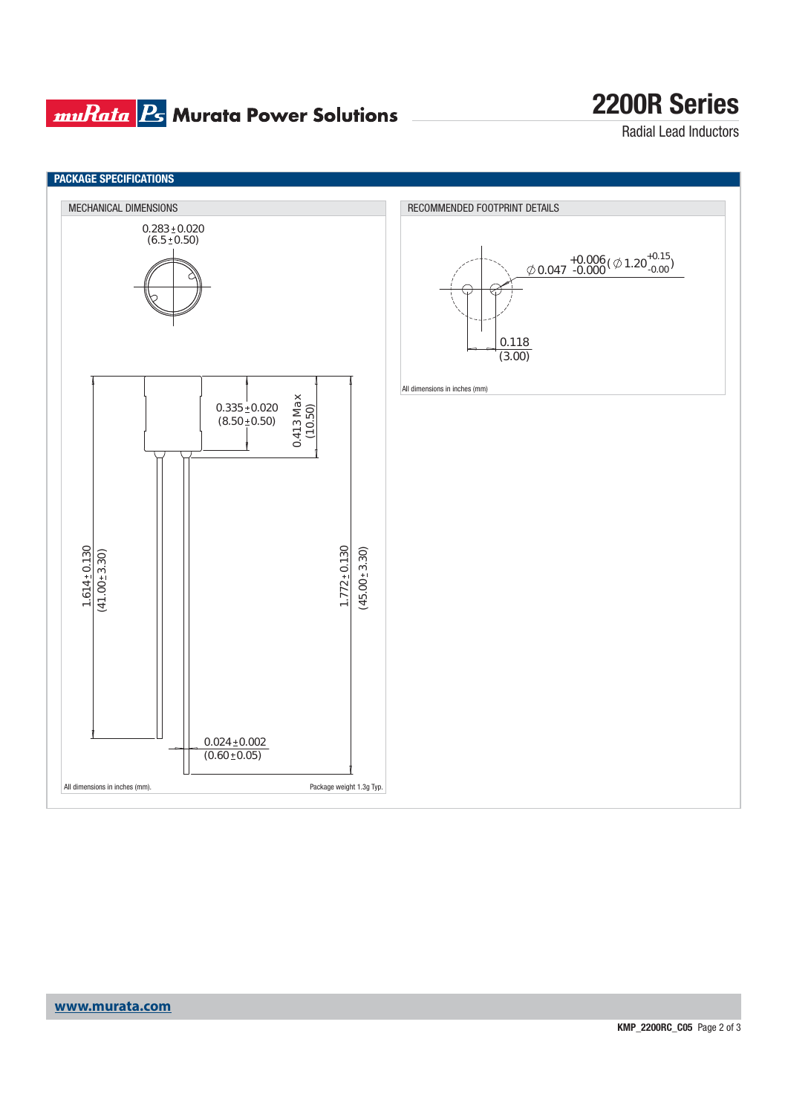### **muRata B** Murata Power Solutions

### **2200R Series**

Radial Lead Inductors